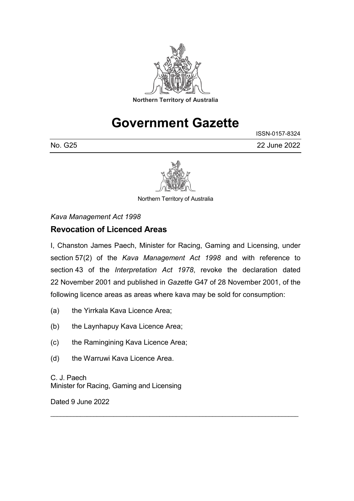

# **Government Gazette**

ISSN-0157-8324 No. G25 22 June 2022



Northern Territory of Australia

*Kava Management Act 1998*

## **Revocation of Licenced Areas**

I, Chanston James Paech, Minister for Racing, Gaming and Licensing, under section 57(2) of the *Kava Management Act 1998* and with reference to section 43 of the *Interpretation Act 1978*, revoke the declaration dated 22 November 2001 and published in *Gazette* G47 of 28 November 2001, of the following licence areas as areas where kava may be sold for consumption:

\_\_\_\_\_\_\_\_\_\_\_\_\_\_\_\_\_\_\_\_\_\_\_\_\_\_\_\_\_\_\_\_\_\_\_\_\_\_\_\_\_\_\_\_\_\_\_\_\_\_\_\_\_\_\_\_\_\_\_\_\_\_\_\_\_\_\_\_\_\_\_\_\_\_\_

- (a) the Yirrkala Kava Licence Area;
- (b) the Laynhapuy Kava Licence Area;
- (c) the Ramingining Kava Licence Area;
- (d) the Warruwi Kava Licence Area.

C. J. Paech Minister for Racing, Gaming and Licensing

Dated 9 June 2022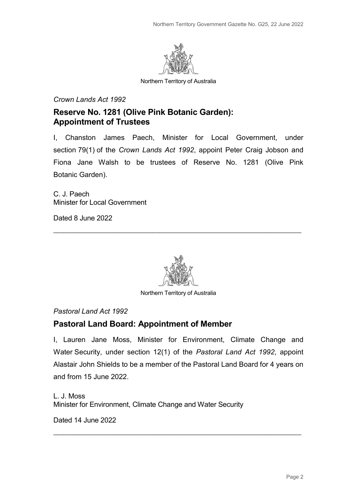

Northern Territory of Australia

#### *Crown Lands Act 1992*

### **Reserve No. 1281 (Olive Pink Botanic Garden): Appointment of Trustees**

I, Chanston James Paech, Minister for Local Government, under section 79(1) of the *Crown Lands Act 1992*, appoint Peter Craig Jobson and Fiona Jane Walsh to be trustees of Reserve No. 1281 (Olive Pink Botanic Garden).

C. J. Paech Minister for Local Government

Dated 8 June 2022



\_\_\_\_\_\_\_\_\_\_\_\_\_\_\_\_\_\_\_\_\_\_\_\_\_\_\_\_\_\_\_\_\_\_\_\_\_\_\_\_\_\_\_\_\_\_\_\_\_\_\_\_\_\_\_\_\_\_\_\_\_\_\_\_\_\_\_\_\_\_\_\_\_\_\_

Northern Territory of Australia

#### *Pastoral Land Act 1992*

#### **Pastoral Land Board: Appointment of Member**

I, Lauren Jane Moss, Minister for Environment, Climate Change and Water Security, under section 12(1) of the *Pastoral Land Act 1992*, appoint Alastair John Shields to be a member of the Pastoral Land Board for 4 years on and from 15 June 2022.

\_\_\_\_\_\_\_\_\_\_\_\_\_\_\_\_\_\_\_\_\_\_\_\_\_\_\_\_\_\_\_\_\_\_\_\_\_\_\_\_\_\_\_\_\_\_\_\_\_\_\_\_\_\_\_\_\_\_\_\_\_\_\_\_\_\_\_\_\_\_\_\_\_\_\_

L. J. Moss Minister for Environment, Climate Change and Water Security

Dated 14 June 2022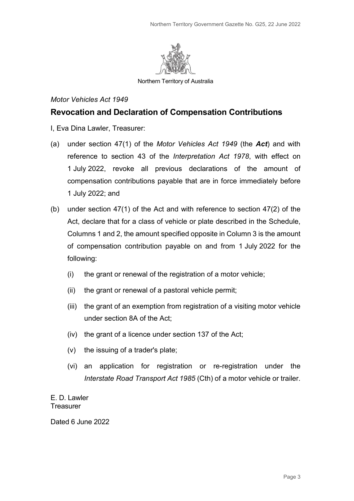

Northern Territory of Australia

#### *Motor Vehicles Act 1949*

### **Revocation and Declaration of Compensation Contributions**

- I, Eva Dina Lawler, Treasurer:
- (a) under section 47(1) of the *Motor Vehicles Act 1949* (the *Act*) and with reference to section 43 of the *Interpretation Act 1978*, with effect on 1 July 2022, revoke all previous declarations of the amount of compensation contributions payable that are in force immediately before 1 July 2022; and
- (b) under section 47(1) of the Act and with reference to section 47(2) of the Act, declare that for a class of vehicle or plate described in the Schedule, Columns 1 and 2, the amount specified opposite in Column 3 is the amount of compensation contribution payable on and from 1 July 2022 for the following:
	- (i) the grant or renewal of the registration of a motor vehicle;
	- (ii) the grant or renewal of a pastoral vehicle permit;
	- (iii) the grant of an exemption from registration of a visiting motor vehicle under section 8A of the Act;
	- (iv) the grant of a licence under section 137 of the Act;
	- (v) the issuing of a trader's plate;
	- (vi) an application for registration or re-registration under the *Interstate Road Transport Act 1985* (Cth) of a motor vehicle or trailer.

E. D. Lawler **Treasurer** 

Dated 6 June 2022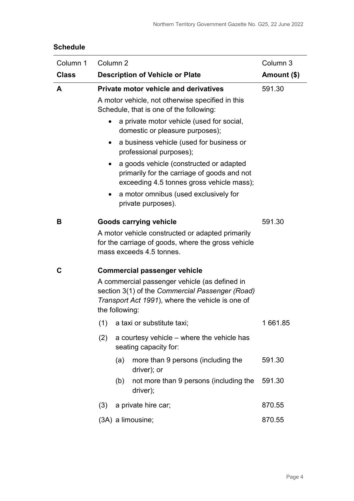### **Schedule**

| Column 1     | Column <sub>2</sub>                                                                                                                                                                                           | Column 3                                                                                                                            |         |  |
|--------------|---------------------------------------------------------------------------------------------------------------------------------------------------------------------------------------------------------------|-------------------------------------------------------------------------------------------------------------------------------------|---------|--|
| <b>Class</b> | <b>Description of Vehicle or Plate</b>                                                                                                                                                                        | Amount (\$)                                                                                                                         |         |  |
| A            | <b>Private motor vehicle and derivatives</b><br>A motor vehicle, not otherwise specified in this<br>Schedule, that is one of the following:<br>a private motor vehicle (used for social,                      | 591.30                                                                                                                              |         |  |
|              | domestic or pleasure purposes);<br>professional purposes);                                                                                                                                                    | a business vehicle (used for business or                                                                                            |         |  |
|              |                                                                                                                                                                                                               | a goods vehicle (constructed or adapted<br>primarily for the carriage of goods and not<br>exceeding 4.5 tonnes gross vehicle mass); |         |  |
|              | a motor omnibus (used exclusively for<br>$\bullet$<br>private purposes).                                                                                                                                      |                                                                                                                                     |         |  |
| В            | <b>Goods carrying vehicle</b><br>A motor vehicle constructed or adapted primarily<br>for the carriage of goods, where the gross vehicle<br>mass exceeds 4.5 tonnes.                                           |                                                                                                                                     | 591.30  |  |
| C            | <b>Commercial passenger vehicle</b><br>A commercial passenger vehicle (as defined in<br>section 3(1) of the Commercial Passenger (Road)<br>Transport Act 1991), where the vehicle is one of<br>the following: |                                                                                                                                     |         |  |
|              | a taxi or substitute taxi;<br>(1)                                                                                                                                                                             |                                                                                                                                     | 1661.85 |  |
|              | (2)                                                                                                                                                                                                           | a courtesy vehicle - where the vehicle has<br>seating capacity for:                                                                 |         |  |
|              | (a)<br>driver); or                                                                                                                                                                                            | more than 9 persons (including the                                                                                                  | 591.30  |  |
|              | (b)<br>driver);                                                                                                                                                                                               | not more than 9 persons (including the                                                                                              | 591.30  |  |
|              | (3)<br>a private hire car;                                                                                                                                                                                    |                                                                                                                                     | 870.55  |  |
|              | (3A) a limousine;                                                                                                                                                                                             | 870.55                                                                                                                              |         |  |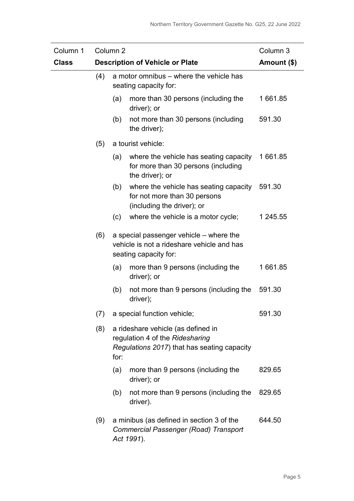| Column 1     | Column <sub>2</sub> |                                                                                                                              |                                                                                                                | Column 3 |
|--------------|---------------------|------------------------------------------------------------------------------------------------------------------------------|----------------------------------------------------------------------------------------------------------------|----------|
| <b>Class</b> |                     | <b>Description of Vehicle or Plate</b>                                                                                       | Amount (\$)                                                                                                    |          |
| (4)          |                     | a motor omnibus – where the vehicle has<br>seating capacity for:                                                             |                                                                                                                |          |
|              |                     | (a)                                                                                                                          | more than 30 persons (including the<br>driver); or                                                             | 1 661.85 |
|              |                     | (b)                                                                                                                          | not more than 30 persons (including<br>the driver);                                                            | 591.30   |
|              | (5)                 |                                                                                                                              | a tourist vehicle:                                                                                             |          |
|              |                     | (a)                                                                                                                          | where the vehicle has seating capacity<br>for more than 30 persons (including<br>the driver); or               | 1 661.85 |
|              |                     | (b)                                                                                                                          | where the vehicle has seating capacity<br>for not more than 30 persons<br>(including the driver); or           | 591.30   |
|              |                     | (c)                                                                                                                          | where the vehicle is a motor cycle;                                                                            | 1 245.55 |
|              | (6)                 |                                                                                                                              | a special passenger vehicle - where the<br>vehicle is not a rideshare vehicle and has<br>seating capacity for: |          |
|              |                     | (a)                                                                                                                          | more than 9 persons (including the<br>driver); or                                                              | 1 661.85 |
|              |                     | (b)                                                                                                                          | not more than 9 persons (including the<br>driver);                                                             | 591.30   |
|              | (7)                 |                                                                                                                              | a special function vehicle;                                                                                    | 591.30   |
|              | (8)                 | a rideshare vehicle (as defined in<br>regulation 4 of the Ridesharing<br>Regulations 2017) that has seating capacity<br>for: |                                                                                                                |          |
|              |                     | (a)                                                                                                                          | more than 9 persons (including the<br>driver); or                                                              | 829.65   |
|              |                     | (b)                                                                                                                          | not more than 9 persons (including the<br>driver).                                                             | 829.65   |
|              | (9)                 |                                                                                                                              | a minibus (as defined in section 3 of the<br><b>Commercial Passenger (Road) Transport</b><br>Act 1991).        | 644.50   |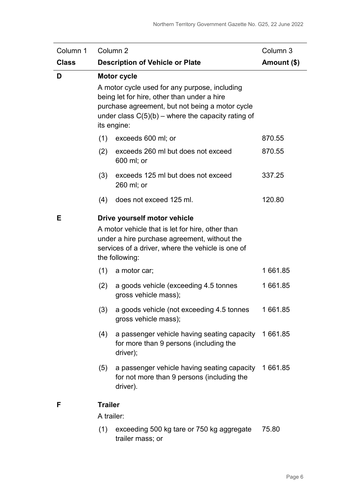| Column 1     | Column <sub>2</sub><br>Column 3                                                                                                                                                                         |                                                                                                                                                                                                                                              |          |  |
|--------------|---------------------------------------------------------------------------------------------------------------------------------------------------------------------------------------------------------|----------------------------------------------------------------------------------------------------------------------------------------------------------------------------------------------------------------------------------------------|----------|--|
| <b>Class</b> | <b>Description of Vehicle or Plate</b><br>Amount (\$)                                                                                                                                                   |                                                                                                                                                                                                                                              |          |  |
| D            |                                                                                                                                                                                                         | <b>Motor cycle</b><br>A motor cycle used for any purpose, including<br>being let for hire, other than under a hire<br>purchase agreement, but not being a motor cycle<br>under class $C(5)(b)$ – where the capacity rating of<br>its engine: |          |  |
|              | (1)                                                                                                                                                                                                     | exceeds 600 ml; or                                                                                                                                                                                                                           | 870.55   |  |
|              | (2)                                                                                                                                                                                                     | exceeds 260 ml but does not exceed<br>600 ml; or                                                                                                                                                                                             | 870.55   |  |
|              | (3)                                                                                                                                                                                                     | exceeds 125 ml but does not exceed<br>260 ml; or                                                                                                                                                                                             | 337.25   |  |
|              | (4)                                                                                                                                                                                                     | does not exceed 125 ml.                                                                                                                                                                                                                      | 120.80   |  |
| Е            | Drive yourself motor vehicle<br>A motor vehicle that is let for hire, other than<br>under a hire purchase agreement, without the<br>services of a driver, where the vehicle is one of<br>the following: |                                                                                                                                                                                                                                              |          |  |
|              | (1)                                                                                                                                                                                                     | a motor car;                                                                                                                                                                                                                                 | 1 661.85 |  |
|              | (2)                                                                                                                                                                                                     | a goods vehicle (exceeding 4.5 tonnes<br>gross vehicle mass);                                                                                                                                                                                | 1 661.85 |  |
|              | (3)                                                                                                                                                                                                     | a goods vehicle (not exceeding 4.5 tonnes<br>gross vehicle mass);                                                                                                                                                                            | 1661.85  |  |
|              | (4)                                                                                                                                                                                                     | a passenger vehicle having seating capacity 1661.85<br>for more than 9 persons (including the<br>driver);                                                                                                                                    |          |  |
|              | (5)                                                                                                                                                                                                     | a passenger vehicle having seating capacity 1661.85<br>for not more than 9 persons (including the<br>driver).                                                                                                                                |          |  |
| F            | <b>Trailer</b><br>A trailer:                                                                                                                                                                            |                                                                                                                                                                                                                                              |          |  |

(1) exceeding 500 kg tare or 750 kg aggregate 75.80trailer mass; or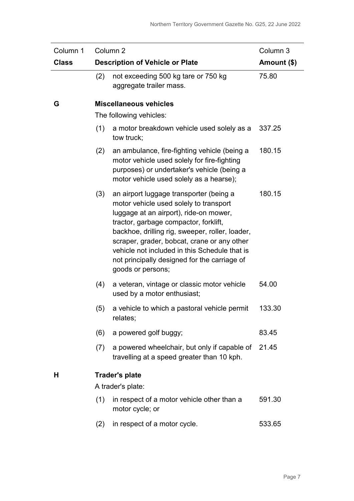| Column 1     | Column <sub>2</sub>                    | Column 3                                                                                                                                                                                                                                                                                                                                                                                     |        |
|--------------|----------------------------------------|----------------------------------------------------------------------------------------------------------------------------------------------------------------------------------------------------------------------------------------------------------------------------------------------------------------------------------------------------------------------------------------------|--------|
| <b>Class</b> | <b>Description of Vehicle or Plate</b> | Amount (\$)                                                                                                                                                                                                                                                                                                                                                                                  |        |
|              | (2)                                    | not exceeding 500 kg tare or 750 kg<br>aggregate trailer mass.                                                                                                                                                                                                                                                                                                                               | 75.80  |
| G            |                                        | <b>Miscellaneous vehicles</b>                                                                                                                                                                                                                                                                                                                                                                |        |
|              |                                        | The following vehicles:                                                                                                                                                                                                                                                                                                                                                                      |        |
|              | (1)                                    | a motor breakdown vehicle used solely as a<br>tow truck;                                                                                                                                                                                                                                                                                                                                     | 337.25 |
|              | (2)                                    | an ambulance, fire-fighting vehicle (being a<br>motor vehicle used solely for fire-fighting<br>purposes) or undertaker's vehicle (being a<br>motor vehicle used solely as a hearse);                                                                                                                                                                                                         | 180.15 |
|              | (3)                                    | an airport luggage transporter (being a<br>motor vehicle used solely to transport<br>luggage at an airport), ride-on mower,<br>tractor, garbage compactor, forklift,<br>backhoe, drilling rig, sweeper, roller, loader,<br>scraper, grader, bobcat, crane or any other<br>vehicle not included in this Schedule that is<br>not principally designed for the carriage of<br>goods or persons; | 180.15 |
|              | (4)                                    | a veteran, vintage or classic motor vehicle<br>used by a motor enthusiast;                                                                                                                                                                                                                                                                                                                   | 54.00  |
|              | (5)                                    | a vehicle to which a pastoral vehicle permit<br>relates;                                                                                                                                                                                                                                                                                                                                     | 133.30 |
|              | (6)                                    | a powered golf buggy;                                                                                                                                                                                                                                                                                                                                                                        | 83.45  |
|              | (7)                                    | a powered wheelchair, but only if capable of<br>travelling at a speed greater than 10 kph.                                                                                                                                                                                                                                                                                                   | 21.45  |
| Н            | <b>Trader's plate</b>                  |                                                                                                                                                                                                                                                                                                                                                                                              |        |
|              |                                        | A trader's plate:                                                                                                                                                                                                                                                                                                                                                                            |        |
|              | (1)                                    | in respect of a motor vehicle other than a<br>motor cycle; or                                                                                                                                                                                                                                                                                                                                | 591.30 |
|              | (2)                                    | in respect of a motor cycle.                                                                                                                                                                                                                                                                                                                                                                 | 533.65 |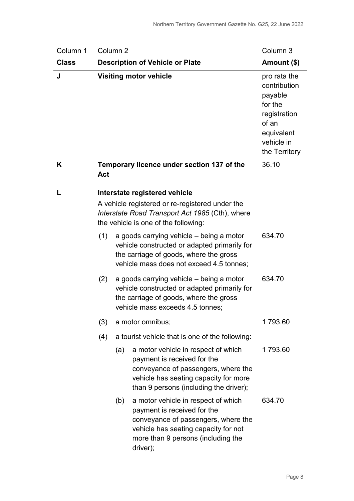| Column 1     |                                                          | Column <sub>2</sub>                                                                                                                        |                                                                                                                                                                                                     | Column 3                                                                                                                 |
|--------------|----------------------------------------------------------|--------------------------------------------------------------------------------------------------------------------------------------------|-----------------------------------------------------------------------------------------------------------------------------------------------------------------------------------------------------|--------------------------------------------------------------------------------------------------------------------------|
| <b>Class</b> |                                                          |                                                                                                                                            | <b>Description of Vehicle or Plate</b>                                                                                                                                                              | Amount (\$)                                                                                                              |
| J            |                                                          |                                                                                                                                            | <b>Visiting motor vehicle</b>                                                                                                                                                                       | pro rata the<br>contribution<br>payable<br>for the<br>registration<br>of an<br>equivalent<br>vehicle in<br>the Territory |
| K            | Temporary licence under section 137 of the<br><b>Act</b> |                                                                                                                                            |                                                                                                                                                                                                     | 36.10                                                                                                                    |
|              | Interstate registered vehicle                            |                                                                                                                                            |                                                                                                                                                                                                     |                                                                                                                          |
|              |                                                          | A vehicle registered or re-registered under the<br>Interstate Road Transport Act 1985 (Cth), where<br>the vehicle is one of the following: |                                                                                                                                                                                                     |                                                                                                                          |
|              | (1)                                                      |                                                                                                                                            | a goods carrying vehicle – being a motor<br>vehicle constructed or adapted primarily for<br>the carriage of goods, where the gross<br>vehicle mass does not exceed 4.5 tonnes;                      | 634.70                                                                                                                   |
|              | (2)                                                      |                                                                                                                                            | a goods carrying vehicle – being a motor<br>vehicle constructed or adapted primarily for<br>the carriage of goods, where the gross<br>vehicle mass exceeds 4.5 tonnes;                              | 634.70                                                                                                                   |
|              | (3)                                                      |                                                                                                                                            | a motor omnibus;                                                                                                                                                                                    | 1793.60                                                                                                                  |
|              | (4)                                                      |                                                                                                                                            | a tourist vehicle that is one of the following:                                                                                                                                                     |                                                                                                                          |
|              |                                                          | (a)                                                                                                                                        | a motor vehicle in respect of which<br>payment is received for the<br>conveyance of passengers, where the<br>vehicle has seating capacity for more<br>than 9 persons (including the driver);        | 1793.60                                                                                                                  |
|              |                                                          | (b)                                                                                                                                        | a motor vehicle in respect of which<br>payment is received for the<br>conveyance of passengers, where the<br>vehicle has seating capacity for not<br>more than 9 persons (including the<br>driver); | 634.70                                                                                                                   |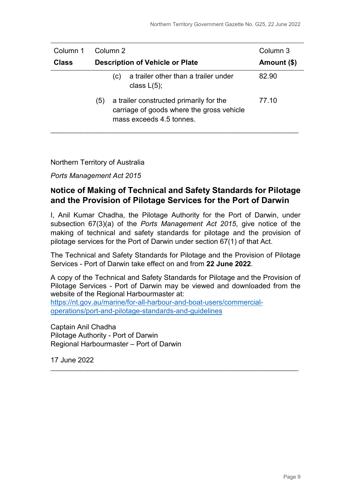| Column 1     |                                        | Column 2 |                                                                                                                  | Column 3    |
|--------------|----------------------------------------|----------|------------------------------------------------------------------------------------------------------------------|-------------|
| <b>Class</b> | <b>Description of Vehicle or Plate</b> |          |                                                                                                                  | Amount (\$) |
|              |                                        | (C)      | a trailer other than a trailer under<br>class $L(5)$ ;                                                           | 82.90       |
|              | (5)                                    |          | a trailer constructed primarily for the<br>carriage of goods where the gross vehicle<br>mass exceeds 4.5 tonnes. | 77.10       |

#### Northern Territory of Australia

*Ports Management Act 2015*

### **Notice of Making of Technical and Safety Standards for Pilotage and the Provision of Pilotage Services for the Port of Darwin**

I, Anil Kumar Chadha, the Pilotage Authority for the Port of Darwin, under subsection 67(3)(a) of the *Ports Management Act 2015*, give notice of the making of technical and safety standards for pilotage and the provision of pilotage services for the Port of Darwin under section 67(1) of that Act.

The Technical and Safety Standards for Pilotage and the Provision of Pilotage Services - Port of Darwin take effect on and from **22 June 2022**.

A copy of the Technical and Safety Standards for Pilotage and the Provision of Pilotage Services - Port of Darwin may be viewed and downloaded from the website of the Regional Harbourmaster at: [https://nt.gov.au/marine/for-all-harbour-and-boat-users/commercial-](https://nt.gov.au/marine/for-all-harbour-and-boat-users/commercial-operations/port-and-pilotage-standards-and-guidelines)

\_\_\_\_\_\_\_\_\_\_\_\_\_\_\_\_\_\_\_\_\_\_\_\_\_\_\_\_\_\_\_\_\_\_\_\_\_\_\_\_\_\_\_\_\_\_\_\_\_\_\_\_\_\_\_\_\_\_\_\_\_\_\_\_\_\_\_\_\_\_\_\_\_\_\_

[operations/port-and-pilotage-standards-and-guidelines](https://nt.gov.au/marine/for-all-harbour-and-boat-users/commercial-operations/port-and-pilotage-standards-and-guidelines)

Captain Anil Chadha Pilotage Authority - Port of Darwin Regional Harbourmaster – Port of Darwin

17 June 2022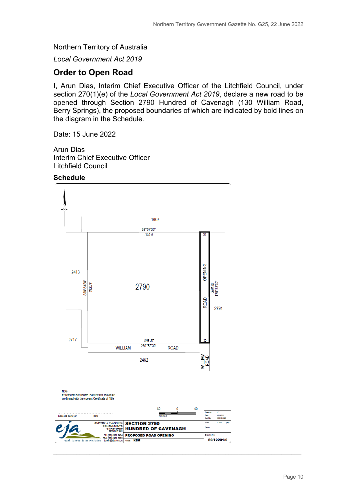Northern Territory of Australia

*Local Government Act 2019*

#### **Order to Open Road**

I, Arun Dias, Interim Chief Executive Officer of the Litchfield Council, under section 270(1)(e) of the *Local Government Act 2019*, declare a new road to be opened through Section 2790 Hundred of Cavenagh (130 William Road, Berry Springs), the proposed boundaries of which are indicated by bold lines on the diagram in the Schedule.

Date: 15 June 2022

Arun Dias Interim Chief Executive Officer Litchfield Council

**Schedule**



\_\_\_\_\_\_\_\_\_\_\_\_\_\_\_\_\_\_\_\_\_\_\_\_\_\_\_\_\_\_\_\_\_\_\_\_\_\_\_\_\_\_\_\_\_\_\_\_\_\_\_\_\_\_\_\_\_\_\_\_\_\_\_\_\_\_\_\_\_\_\_\_\_\_\_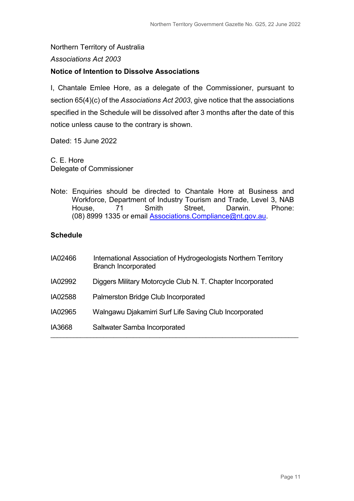### Northern Territory of Australia

#### *Associations Act 2003*

#### **Notice of Intention to Dissolve Associations**

I, Chantale Emlee Hore, as a delegate of the Commissioner, pursuant to section 65(4)(c) of the *Associations Act 2003*, give notice that the associations specified in the Schedule will be dissolved after 3 months after the date of this notice unless cause to the contrary is shown.

Dated: 15 June 2022

C. E. Hore Delegate of Commissioner

Note: Enquiries should be directed to Chantale Hore at Business and Workforce, Department of Industry Tourism and Trade, Level 3, NAB House, 71 Smith Street, Darwin. Phone: (08) 8999 1335 or email Associations[.Compliance@nt.gov.au.](mailto:Compliance@nt.gov.au)

#### **Schedule**

| IA02466 | International Association of Hydrogeologists Northern Territory<br><b>Branch Incorporated</b> |
|---------|-----------------------------------------------------------------------------------------------|
| IA02992 | Diggers Military Motorcycle Club N. T. Chapter Incorporated                                   |
| IA02588 | Palmerston Bridge Club Incorporated                                                           |
| IA02965 | Walngawu Djakamirri Surf Life Saving Club Incorporated                                        |
| IA3668  | Saltwater Samba Incorporated                                                                  |